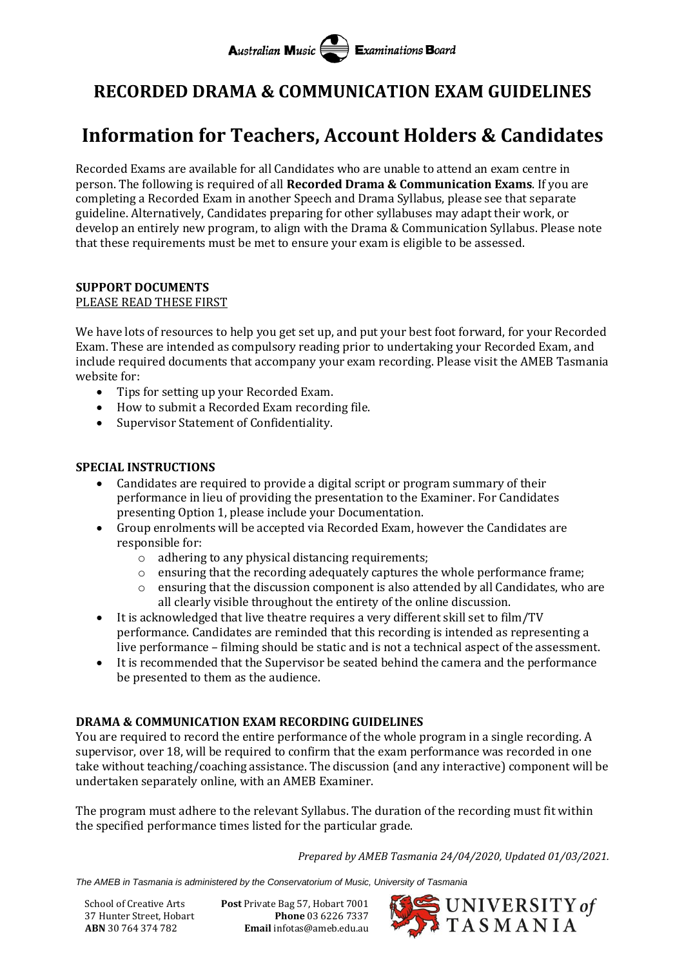# **RECORDED DRAMA & COMMUNICATION EXAM GUIDELINES**

# **Information for Teachers, Account Holders & Candidates**

Recorded Exams are available for all Candidates who are unable to attend an exam centre in person. The following is required of all **Recorded Drama & Communication Exams**. If you are completing a Recorded Exam in another Speech and Drama Syllabus, please see that separate guideline. Alternatively, Candidates preparing for other syllabuses may adapt their work, or develop an entirely new program, to align with the Drama & Communication Syllabus. Please note that these requirements must be met to ensure your exam is eligible to be assessed.

# **SUPPORT DOCUMENTS**

#### PLEASE READ THESE FIRST

We have lots of resources to help you get set up, and put your best foot forward, for your Recorded Exam. These are intended as compulsory reading prior to undertaking your Recorded Exam, and include required documents that accompany your exam recording. Please visit the AMEB Tasmania website for:

- Tips for setting up your Recorded Exam.
- How to submit a Recorded Exam recording file.
- Supervisor Statement of Confidentiality.

# **SPECIAL INSTRUCTIONS**

- Candidates are required to provide a digital script or program summary of their performance in lieu of providing the presentation to the Examiner. For Candidates presenting Option 1, please include your Documentation.
- Group enrolments will be accepted via Recorded Exam, however the Candidates are responsible for:
	- o adhering to any physical distancing requirements;
	- $\circ$  ensuring that the recording adequately captures the whole performance frame;
	- $\circ$  ensuring that the discussion component is also attended by all Candidates, who are all clearly visible throughout the entirety of the online discussion.
- It is acknowledged that live theatre requires a very different skill set to film/TV performance. Candidates are reminded that this recording is intended as representing a live performance – filming should be static and is not a technical aspect of the assessment.
- It is recommended that the Supervisor be seated behind the camera and the performance be presented to them as the audience.

# **DRAMA & COMMUNICATION EXAM RECORDING GUIDELINES**

You are required to record the entire performance of the whole program in a single recording. A supervisor, over 18, will be required to confirm that the exam performance was recorded in one take without teaching/coaching assistance. The discussion (and any interactive) component will be undertaken separately online, with an AMEB Examiner.

The program must adhere to the relevant Syllabus. The duration of the recording must fit within the specified performance times listed for the particular grade.

*Prepared by AMEB Tasmania 24/04/2020, Updated 01/03/2021.*

*The AMEB in Tasmania is administered by the Conservatorium of Music, University of Tasmania*

School of Creative Arts **Post** Private Bag 57, Hobart 7001 37 Hunter Street, Hobart **Phone** 03 6226 7337 **ABN** 30 764 374 782 **Email** infotas@ameb.edu.au

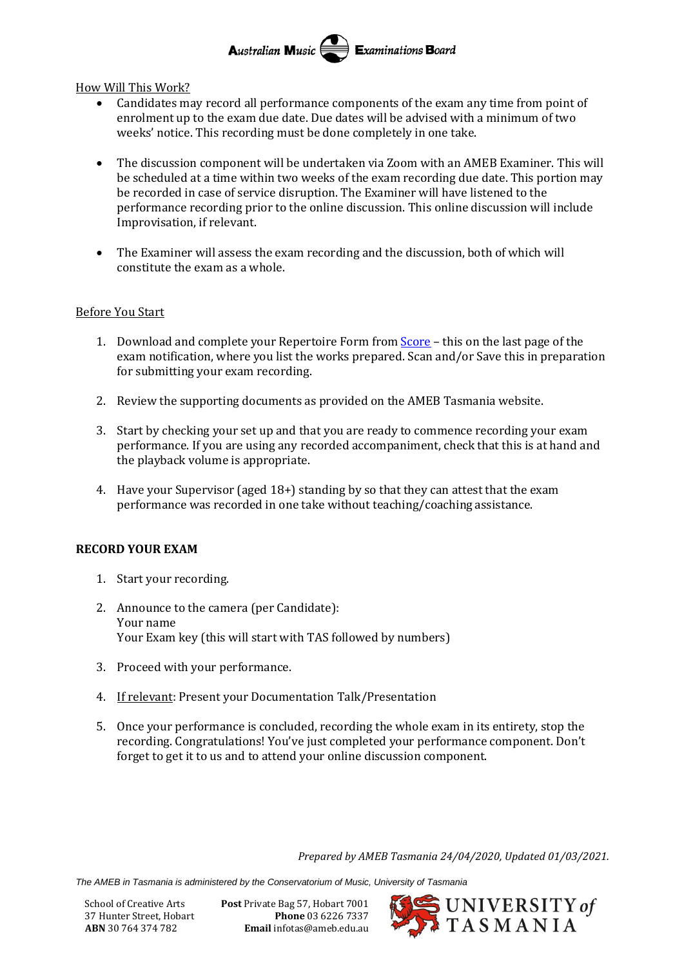Australian Music  $\equiv$  Examinations Board

How Will This Work?

- Candidates may record all performance components of the exam any time from point of enrolment up to the exam due date. Due dates will be advised with a minimum of two weeks' notice. This recording must be done completely in one take.
- The discussion component will be undertaken via Zoom with an AMEB Examiner. This will be scheduled at a time within two weeks of the exam recording due date. This portion may be recorded in case of service disruption. The Examiner will have listened to the performance recording prior to the online discussion. This online discussion will include Improvisation, if relevant.
- The Examiner will assess the exam recording and the discussion, both of which will constitute the exam as a whole.

### Before You Start

- 1. Download and complete your Repertoire Form from [Score](https://tas.ameb.edu.au/) this on the last page of the exam notification, where you list the works prepared. Scan and/or Save this in preparation for submitting your exam recording.
- 2. Review the supporting documents as provided on the AMEB Tasmania website.
- 3. Start by checking your set up and that you are ready to commence recording your exam performance. If you are using any recorded accompaniment, check that this is at hand and the playback volume is appropriate.
- 4. Have your Supervisor (aged 18+) standing by so that they can attest that the exam performance was recorded in one take without teaching/coaching assistance.

### **RECORD YOUR EXAM**

- 1. Start your recording.
- 2. Announce to the camera (per Candidate): Your name Your Exam key (this will start with TAS followed by numbers)
- 3. Proceed with your performance.
- 4. If relevant: Present your Documentation Talk/Presentation
- 5. Once your performance is concluded, recording the whole exam in its entirety, stop the recording. Congratulations! You've just completed your performance component. Don't forget to get it to us and to attend your online discussion component.

*Prepared by AMEB Tasmania 24/04/2020, Updated 01/03/2021.*

*The AMEB in Tasmania is administered by the Conservatorium of Music, University of Tasmania*